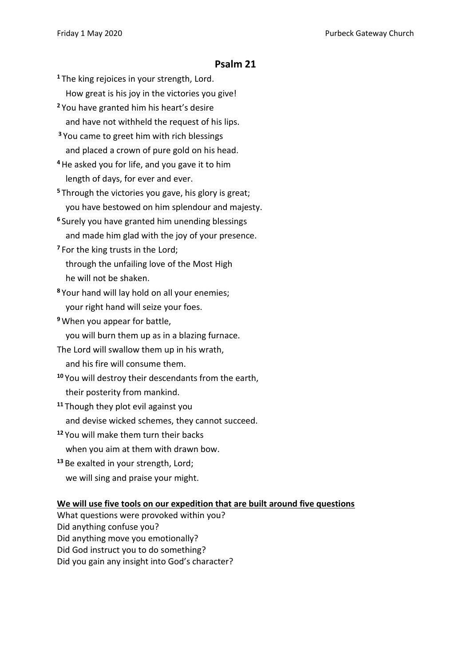## **Psalm 21**

- **<sup>1</sup>** The king rejoices in your strength, Lord. How great is his joy in the victories you give!
- **<sup>2</sup>** You have granted him his heart's desire and have not withheld the request of his lips.
- **<sup>3</sup>** You came to greet him with rich blessings and placed a crown of pure gold on his head.
- **<sup>4</sup>**He asked you for life, and you gave it to him length of days, for ever and ever.
- **<sup>5</sup>** Through the victories you gave, his glory is great; you have bestowed on him splendour and majesty.
- **<sup>6</sup>** Surely you have granted him unending blessings and made him glad with the joy of your presence.
- **<sup>7</sup>** For the king trusts in the Lord; through the unfailing love of the Most High he will not be shaken.
- **<sup>8</sup>** Your hand will lay hold on all your enemies; your right hand will seize your foes.
- **<sup>9</sup>** When you appear for battle,
	- you will burn them up as in a blazing furnace.
- The Lord will swallow them up in his wrath,
- and his fire will consume them.
- **<sup>10</sup>** You will destroy their descendants from the earth, their posterity from mankind.
- **<sup>11</sup>** Though they plot evil against you and devise wicked schemes, they cannot succeed.
- **<sup>12</sup>** You will make them turn their backs when you aim at them with drawn bow.
- **<sup>13</sup>** Be exalted in your strength, Lord; we will sing and praise your might.

## **We will use five tools on our expedition that are built around five questions**

- What questions were provoked within you?
- Did anything confuse you?
- Did anything move you emotionally? Did God instruct you to do something?
- 
- Did you gain any insight into God's character?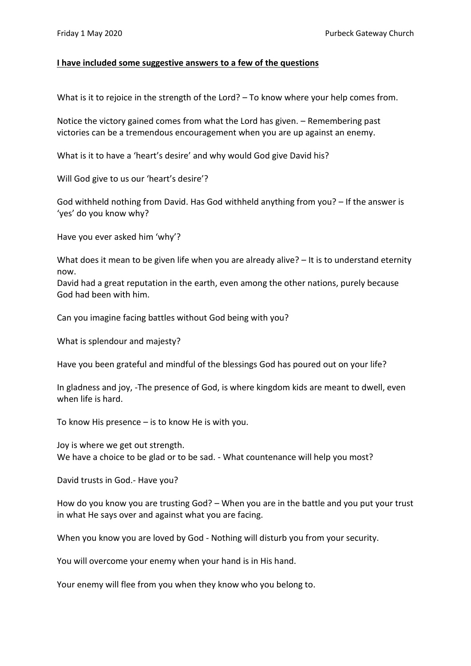## **I have included some suggestive answers to a few of the questions**

What is it to rejoice in the strength of the Lord? – To know where your help comes from.

Notice the victory gained comes from what the Lord has given. – Remembering past victories can be a tremendous encouragement when you are up against an enemy.

What is it to have a 'heart's desire' and why would God give David his?

Will God give to us our 'heart's desire'?

God withheld nothing from David. Has God withheld anything from you? – If the answer is 'yes' do you know why?

Have you ever asked him 'why'?

What does it mean to be given life when you are already alive? - It is to understand eternity now.

David had a great reputation in the earth, even among the other nations, purely because God had been with him.

Can you imagine facing battles without God being with you?

What is splendour and majesty?

Have you been grateful and mindful of the blessings God has poured out on your life?

In gladness and joy, -The presence of God, is where kingdom kids are meant to dwell, even when life is hard.

To know His presence – is to know He is with you.

Joy is where we get out strength. We have a choice to be glad or to be sad. - What countenance will help you most?

David trusts in God.- Have you?

How do you know you are trusting God? – When you are in the battle and you put your trust in what He says over and against what you are facing.

When you know you are loved by God - Nothing will disturb you from your security.

You will overcome your enemy when your hand is in His hand.

Your enemy will flee from you when they know who you belong to.